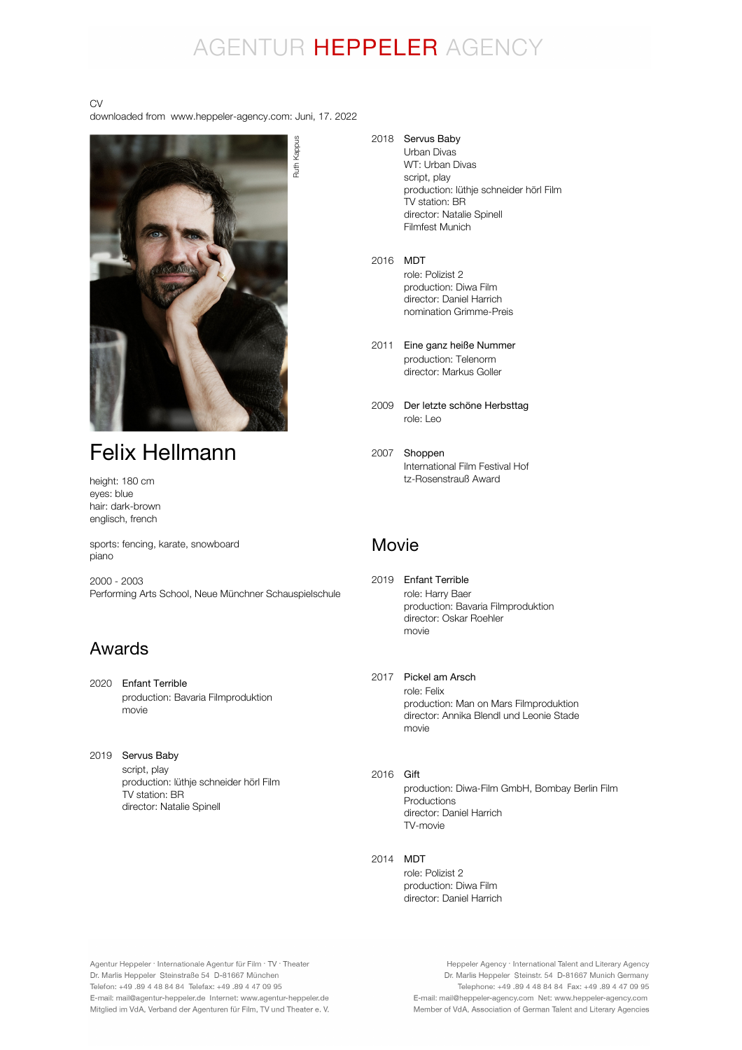## AGENTUR HEPPELER AGENCY

#### CV

downloaded from www.heppeler-agency.com: Juni, 17. 2022



## Felix Hellmann

height: 180 cm eyes: blue hair: dark-brown englisch, french

sports: fencing, karate, snowboard piano

2000 - 2003 Performing Arts School, Neue Münchner Schauspielschule

### Awards

- 2020 Enfant Terrible production: Bavaria Filmproduktion movie
- 2019 Servus Baby script, play production: lüthje schneider hörl Film TV station: BR director: Natalie Spinell

2018 Servus Baby

Urban Divas WT: Urban Divas script, play production: lüthje schneider hörl Film TV station: BR director: Natalie Spinell Filmfest Munich

- 2016 MDT role: Polizist 2 production: Diwa Film director: Daniel Harrich nomination Grimme-Preis
- 2011 Eine ganz heiße Nummer production: Telenorm director: Markus Goller
- 2009 Der letzte schöne Herbsttag role: Leo
- 2007 Shoppen International Film Festival Hof tz-Rosenstrauß Award

### Movie

- 2019 Enfant Terrible role: Harry Baer production: Bavaria Filmproduktion director: Oskar Roehler movie
- 2017 Pickel am Arsch role: Felix production: Man on Mars Filmproduktion director: Annika Blendl und Leonie Stade movie
- 2016 **Gift** production: Diwa-Film GmbH, Bombay Berlin Film Productions director: Daniel Harrich TV-movie
- 2014 MDT

role: Polizist 2 production: Diwa Film director: Daniel Harrich

Agentur Heppeler · Internationale Agentur für Film · TV · Theater Dr. Marlis Heppeler Steinstraße 54 D-81667 München Telefon: +49.89 4 48 84 84 Telefax: +49.89 4 47 09 95 E-mail: mail@agentur-heppeler.de Internet: www.agentur-heppeler.de Mitglied im VdA, Verband der Agenturen für Film, TV und Theater e. V.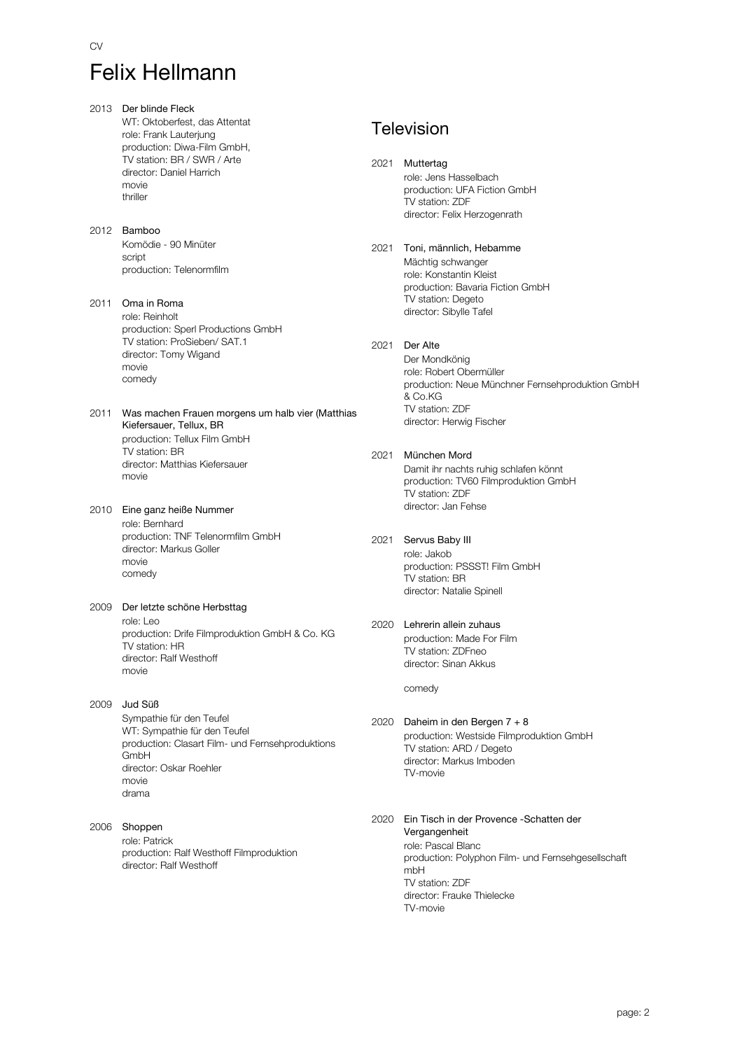CV

2013 Der blinde Fleck WT: Oktoberfest, das Attentat role: Frank Lauterjung production: Diwa-Film GmbH, TV station: BR / SWR / Arte director: Daniel Harrich movie thriller 2012 Bamboo Komödie - 90 Minüter script production: Telenormfilm 2011 Oma in Roma role: Reinholt production: Sperl Productions GmbH TV station: ProSieben/ SAT.1 director: Tomy Wigand movie comedy 2011 Was machen Frauen morgens um halb vier (Matthias production: Tellux Film GmbH TV station: BR director: Matthias Kiefersauer movie Kiefersauer, Tellux, BR 2010 Eine ganz heiße Nummer role: Bernhard production: TNF Telenormfilm GmbH director: Markus Goller movie comedy 2009 Der letzte schöne Herbsttag role: Leo production: Drife Filmproduktion GmbH & Co. KG TV station: HR director: Ralf Westhoff movie 2009 Jud Süß Sympathie für den Teufel WT: Sympathie für den Teufel production: Clasart Film- und Fernsehproduktions GmbH director: Oskar Roehler movie drama 2006 Shoppen role: Patrick production: Ralf Westhoff Filmproduktion director: Ralf Westhoff

## **Television**

- 2021 Muttertag role: Jens Hasselbach production: UFA Fiction GmbH TV station: ZDF director: Felix Herzogenrath
- 2021 Toni, männlich, Hebamme Mächtig schwanger role: Konstantin Kleist production: Bavaria Fiction GmbH TV station: Degeto director: Sibylle Tafel

#### 2021 Der Alte

Der Mondkönig role: Robert Obermüller production: Neue Münchner Fernsehproduktion GmbH & Co.KG TV station: ZDF director: Herwig Fischer

- 2021 München Mord Damit ihr nachts ruhig schlafen könnt production: TV60 Filmproduktion GmbH TV station: ZDF director: Jan Fehse
- 2021 Servus Baby III role: Jakob production: PSSST! Film GmbH TV station: BR director: Natalie Spinell
- 2020 Lehrerin allein zuhaus production: Made For Film TV station: ZDFneo director: Sinan Akkus

comedy

- 2020 Daheim in den Bergen 7 + 8 production: Westside Filmproduktion GmbH TV station: ARD / Degeto director: Markus Imboden TV-movie
- 2020 Ein Tisch in der Provence -Schatten der role: Pascal Blanc production: Polyphon Film- und Fernsehgesellschaft mbH TV station: ZDF director: Frauke Thielecke TV-movie Vergangenheit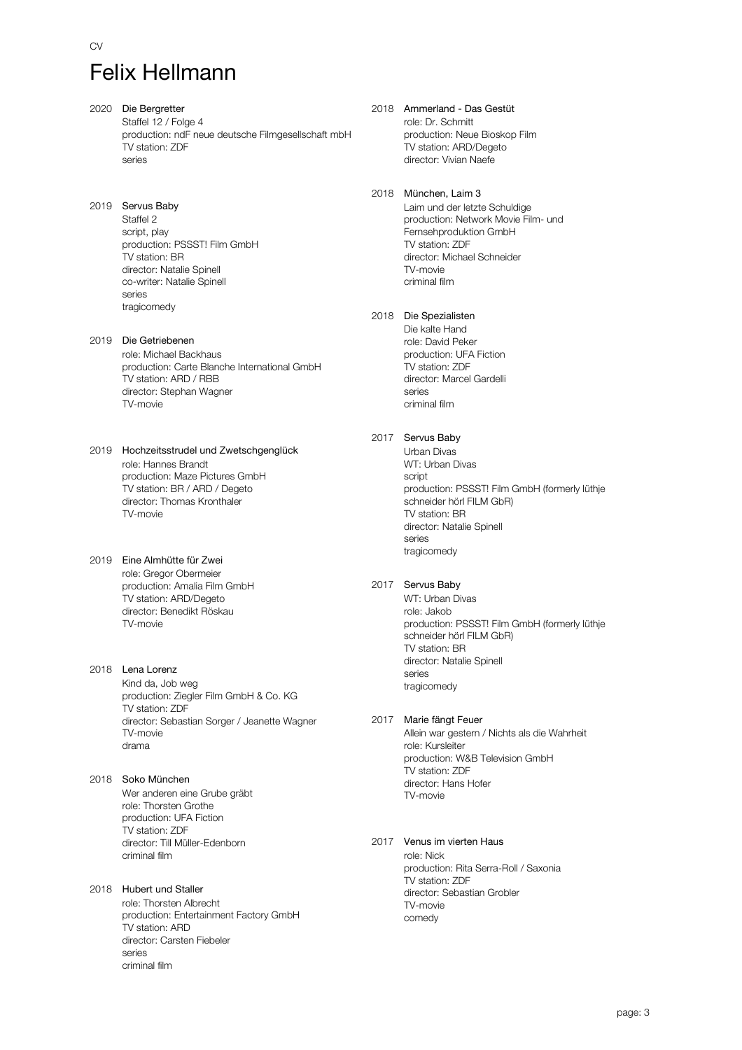CV

- 2020 Die Bergretter Staffel 12 / Folge 4 production: ndF neue deutsche Filmgesellschaft mbH TV station: ZDF series
- 2019 Servus Baby Staffel 2 script, play production: PSSST! Film GmbH TV station: BR director: Natalie Spinell co-writer: Natalie Spinell series tragicomedy
- 2019 Die Getriebenen role: Michael Backhaus production: Carte Blanche International GmbH .<br>TV station: ARD / RBB director: Stephan Wagner TV-movie
- 2019 Hochzeitsstrudel und Zwetschgenglück role: Hannes Brandt production: Maze Pictures GmbH TV station: BR / ARD / Degeto director: Thomas Kronthaler TV-movie
- 2019 Eine Almhütte für Zwei role: Gregor Obermeier production: Amalia Film GmbH TV station: ARD/Degeto director: Benedikt Röskau TV-movie
- 2018 Lena Lorenz Kind da, Job weg production: Ziegler Film GmbH & Co. KG TV station: ZDF director: Sebastian Sorger / Jeanette Wagner TV-movie drama
- 2018 Soko München Wer anderen eine Grube gräbt role: Thorsten Grothe production: UFA Fiction TV station: ZDF director: Till Müller-Edenborn criminal film
- 2018 Hubert und Staller role: Thorsten Albrecht production: Entertainment Factory GmbH TV station: ARD director: Carsten Fiebeler series criminal film
- 2018 Ammerland Das Gestüt role: Dr. Schmitt production: Neue Bioskop Film TV station: ARD/Degeto director: Vivian Naefe
- 2018 München, Laim 3 Laim und der letzte Schuldige production: Network Movie Film- und Fernsehproduktion GmbH TV station: ZDF director: Michael Schneider TV-movie criminal film
- 2018 Die Spezialisten Die kalte Hand role: David Peker production: UFA Fiction TV station: ZDF director: Marcel Gardelli series criminal film
- 2017 Servus Baby

Urban Divas WT: Urban Divas script production: PSSST! Film GmbH (formerly lüthje schneider hörl FILM GbR) TV station: BR director: Natalie Spinell series tragicomedy

- 2017 Servus Baby
	- WT: Urban Divas role: Jakob production: PSSST! Film GmbH (formerly lüthje schneider hörl FILM GbR) TV station: BR director: Natalie Spinell series tragicomedy
- 2017 Marie fängt Feuer

Allein war gestern / Nichts als die Wahrheit role: Kursleiter production: W&B Television GmbH TV station: ZDF director: Hans Hofer TV-movie

#### 2017 Venus im vierten Haus

role: Nick production: Rita Serra-Roll / Saxonia TV station: ZDF director: Sebastian Grobler TV-movie comedy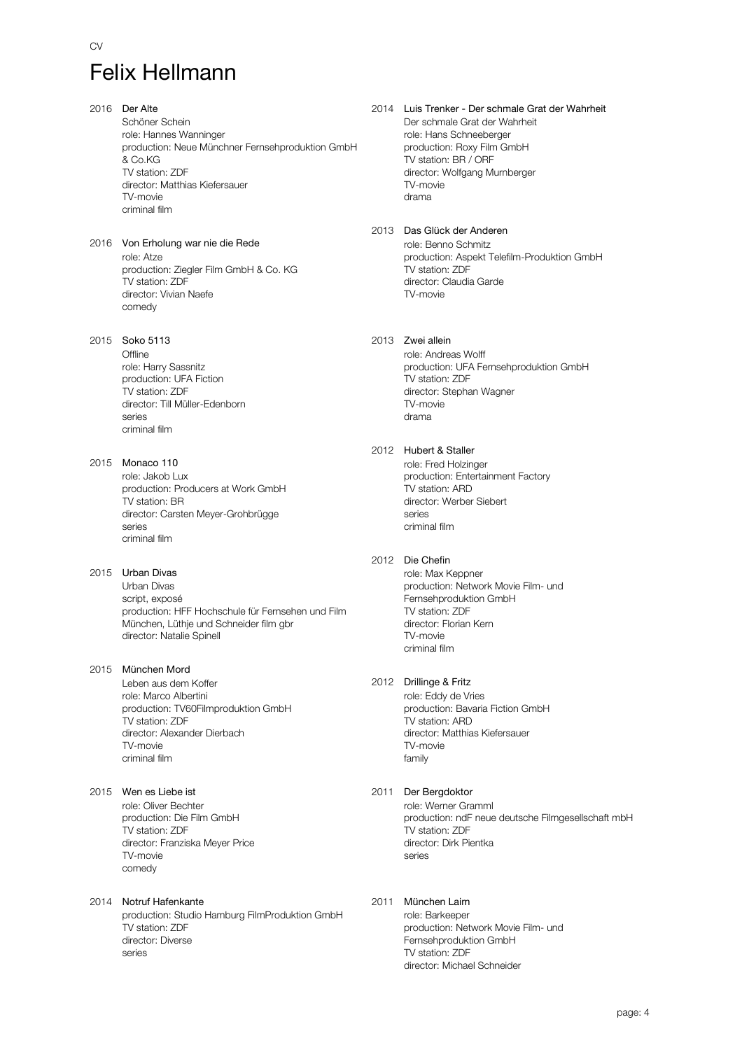CV

2016 Der Alte Schöner Schein role: Hannes Wanninger production: Neue Münchner Fernsehproduktion GmbH & Co.KG TV station: ZDF director: Matthias Kiefersauer TV-movie criminal film

2016 Von Erholung war nie die Rede role: Atze production: Ziegler Film GmbH & Co. KG TV station: ZDF director: Vivian Naefe comedy

2015 Soko 5113

**Offline** role: Harry Sassnitz production: UFA Fiction TV station: ZDF director: Till Müller-Edenborn series criminal film

2015 Monaco 110 role: Jakob Lux production: Producers at Work GmbH TV station: BR director: Carsten Meyer-Grohbrügge series criminal film

2015 Urban Divas Urban Divas

script, exposé production: HFF Hochschule für Fernsehen und Film München, Lüthje und Schneider film gbr director: Natalie Spinell

2015 München Mord

Leben aus dem Koffer role: Marco Albertini production: TV60Filmproduktion GmbH TV station: ZDF director: Alexander Dierbach TV-movie criminal film

2015 Wen es Liebe ist

role: Oliver Bechter production: Die Film GmbH TV station: ZDF director: Franziska Meyer Price TV-movie comedy

2014 Notruf Hafenkante

production: Studio Hamburg FilmProduktion GmbH TV station: ZDF director: Diverse series

2014 Luis Trenker - Der schmale Grat der Wahrheit Der schmale Grat der Wahrheit role: Hans Schneeberger production: Roxy Film GmbH TV station: BR / ORF director: Wolfgang Murnberger TV-movie drama

2013 Das Glück der Anderen role: Benno Schmitz production: Aspekt Telefilm-Produktion GmbH TV station: ZDF director: Claudia Garde TV-movie

2013 Zwei allein

role: Andreas Wolff production: UFA Fernsehproduktion GmbH TV station: ZDF director: Stephan Wagner TV-movie drama

#### 2012 Hubert & Staller

role: Fred Holzinger production: Entertainment Factory TV station: ARD director: Werber Siebert series criminal film

#### 2012 Die Chefin

role: Max Keppner production: Network Movie Film- und Fernsehproduktion GmbH TV station: ZDF director: Florian Kern TV-movie criminal film

#### 2012 Drillinge & Fritz

role: Eddy de Vries production: Bavaria Fiction GmbH TV station: ARD director: Matthias Kiefersauer TV-movie family

#### 2011 Der Bergdoktor

role: Werner Gramml production: ndF neue deutsche Filmgesellschaft mbH TV station: ZDF director: Dirk Pientka series

#### 2011 München Laim

role: Barkeeper production: Network Movie Film- und Fernsehproduktion GmbH TV station: ZDF director: Michael Schneider

page: 4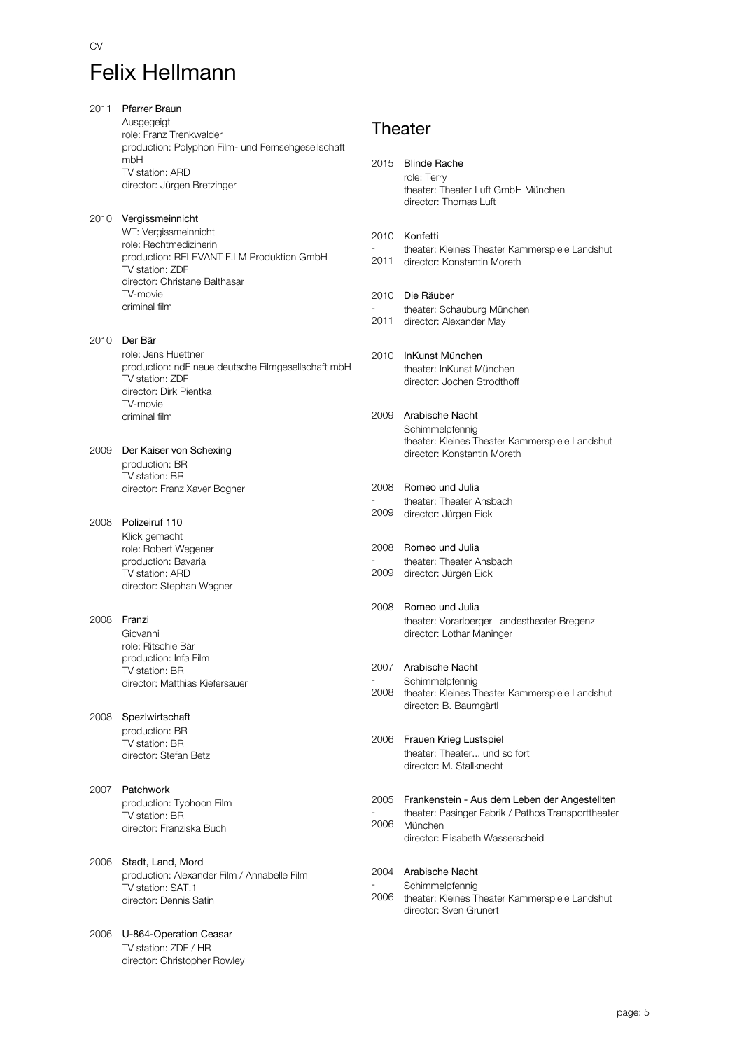| 2011 | <b>Pfarrer Braun</b>                                                          |      |                                                                               |
|------|-------------------------------------------------------------------------------|------|-------------------------------------------------------------------------------|
|      | Ausgegeigt                                                                    |      | Theater                                                                       |
|      | role: Franz Trenkwalder<br>production: Polyphon Film- und Fernsehgesellschaft |      |                                                                               |
|      | mbH                                                                           | 2015 | <b>Blinde Rache</b>                                                           |
|      | TV station: ARD                                                               |      | role: Terry                                                                   |
|      | director: Jürgen Bretzinger                                                   |      | theater: Theater Luft GmbH München                                            |
|      |                                                                               |      | director: Thomas Luft                                                         |
| 2010 | Vergissmeinnicht                                                              |      |                                                                               |
|      | WT: Vergissmeinnicht<br>role: Rechtmedizinerin                                | 2010 | Konfetti                                                                      |
|      | production: RELEVANT FILM Produktion GmbH                                     | 2011 | theater: Kleines Theater Kammerspiele Landshut<br>director: Konstantin Moreth |
|      | TV station: ZDF                                                               |      |                                                                               |
|      | director: Christane Balthasar<br>TV-movie                                     |      | Die Räuber                                                                    |
|      | criminal film                                                                 | 2010 | theater: Schauburg München                                                    |
|      |                                                                               | 2011 | director: Alexander May                                                       |
| 2010 | Der Bär                                                                       |      |                                                                               |
|      | role: Jens Huettner                                                           | 2010 | InKunst München                                                               |
|      | production: ndF neue deutsche Filmgesellschaft mbH                            |      | theater: InKunst München                                                      |
|      | TV station: ZDF<br>director: Dirk Pientka                                     |      | director: Jochen Strodthoff                                                   |
|      | TV-movie                                                                      |      |                                                                               |
|      | criminal film                                                                 | 2009 | Arabische Nacht                                                               |
|      |                                                                               |      | Schimmelpfennig<br>theater: Kleines Theater Kammerspiele Landshut             |
| 2009 | Der Kaiser von Schexing                                                       |      | director: Konstantin Moreth                                                   |
|      | production: BR                                                                |      |                                                                               |
|      | TV station: BR<br>director: Franz Xaver Bogner                                | 2008 | Romeo und Julia                                                               |
|      |                                                                               |      | theater: Theater Ansbach                                                      |
| 2008 | Polizeiruf 110                                                                | 2009 | director: Jürgen Eick                                                         |
|      | Klick gemacht                                                                 |      |                                                                               |
|      | role: Robert Wegener                                                          | 2008 | Romeo und Julia                                                               |
|      | production: Bavaria                                                           |      | theater: Theater Ansbach                                                      |
|      | TV station: ARD<br>director: Stephan Wagner                                   | 2009 | director: Jürgen Eick                                                         |
|      |                                                                               |      |                                                                               |
| 2008 | Franzi                                                                        | 2008 | Romeo und Julia                                                               |
|      | Giovanni                                                                      |      | theater: Vorarlberger Landestheater Bregenz<br>director: Lothar Maninger      |
|      | role: Ritschie Bär                                                            |      |                                                                               |
|      | production: Infa Film                                                         | 2007 | Arabische Nacht                                                               |
|      | TV station: BR<br>director: Matthias Kiefersauer                              |      | Schimmelpfennig                                                               |
|      |                                                                               | 2008 | theater: Kleines Theater Kammerspiele Landshut                                |
| 2008 | Spezlwirtschaft                                                               |      | director: B. Baumgärtl                                                        |
|      | production: BR                                                                |      |                                                                               |
|      | TV station: BR                                                                |      | 2006 Frauen Krieg Lustspiel                                                   |
|      | director: Stefan Betz                                                         |      | theater: Theater und so fort<br>director: M. Stallknecht                      |
|      |                                                                               |      |                                                                               |
| 2007 | Patchwork                                                                     |      | 2005 Frankenstein - Aus dem Leben der Angestellten                            |
|      | production: Typhoon Film<br>TV station: BR                                    |      | theater: Pasinger Fabrik / Pathos Transporttheater                            |
|      | director: Franziska Buch                                                      | 2006 | München                                                                       |
|      |                                                                               |      | director: Elisabeth Wasserscheid                                              |
| 2006 | Stadt, Land, Mord                                                             |      |                                                                               |
|      | production: Alexander Film / Annabelle Film                                   |      | 2004 Arabische Nacht                                                          |
|      | TV station: SAT.1                                                             | 2006 | Schimmelpfennig                                                               |
|      | director: Dennis Satin                                                        |      | theater: Kleines Theater Kammerspiele Landshut<br>director: Sven Grunert      |
|      |                                                                               |      |                                                                               |
| 2006 | U-864-Operation Ceasar<br>TV station: ZDF / HR                                |      |                                                                               |
|      |                                                                               |      |                                                                               |

director: Christopher Rowley